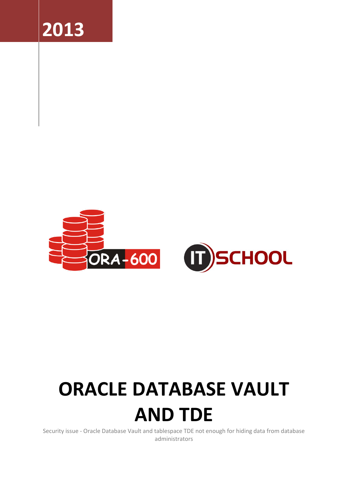



# **ORACLE DATABASE VAULT**

## **AND TDE**

Security issue - Oracle Database Vault and tablespace TDE not enough for hiding data from database administrators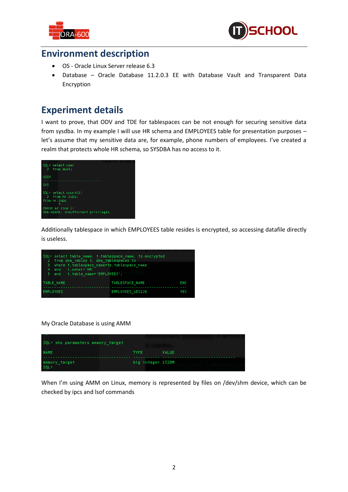



### **Environment description**

- OS Oracle Linux Server release 6.3
- Database Oracle Database 11.2.0.3 EE with Database Vault and Transparent Data Encryption

#### **Experiment details**

I want to prove, that ODV and TDE for tablespaces can be not enough for securing sensitive data from sysdba. In my example I will use HR schema and EMPLOYEES table for presentation purposes – let's assume that my sensitive data are, for example, phone numbers of employees. I've created a realm that protects whole HR schema, so SYSDBA has no access to it.



Additionally tablespace in which EMPLOYEES table resides is encrypted, so accessing datafile directly is useless.



#### My Oracle Database is using AMM

| SQL> sho parameters memory target |                   |       |
|-----------------------------------|-------------------|-------|
| <b>NAME</b>                       | <b>TYPE</b>       | VALUE |
| memory target<br>SOL              | big integer 1520M |       |

When I'm using AMM on Linux, memory is represented by files on /dev/shm device, which can be checked by ipcs and lsof commands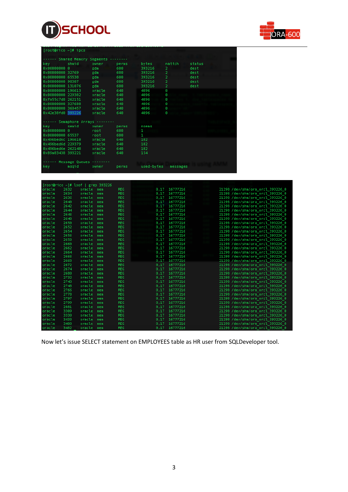



| [root@rico ~]# ipcs |                           |        |       |            |                |        |  |
|---------------------|---------------------------|--------|-------|------------|----------------|--------|--|
|                     | -- Shared Memory Segments |        |       |            |                |        |  |
| key                 | shmid                     | owner  | perms | bytes      | nattch         | status |  |
| 0x00000000 0        |                           | gdm    | 600   | 393216     | 2              | dest   |  |
| 0x00000000 32769    |                           | gdm.   | 600   | 393216     | 2              | dest   |  |
| 0x00000000 65538    |                           | gdm    | 600   | 393216     | $\overline{2}$ | dest   |  |
| 0x00000000 98307    |                           | gdm    | 600   | 393216     | $\overline{2}$ | dest   |  |
| 0x00000000 131076   |                           | gdm.   | 600   | 393216     | 2              | dest   |  |
| 0x00000000 196613   |                           | oracle | 640   | 4096       | Θ              |        |  |
| 0x00000000 229382   |                           | oracle | 640   | 4096       | Θ              |        |  |
| 0xfa55c7d8 262151   |                           | oracle | 640   | 4096       | Θ              |        |  |
| 0x00000000 327688   |                           | oracle | 640   | 4096       | Θ              |        |  |
| 0x00000000 360457   |                           | oracle | 640   | 4096       | Θ              |        |  |
| 0x42e38fd0 393226   |                           | oracle | 640   | 4096       | Θ              |        |  |
|                     |                           |        |       |            |                |        |  |
|                     | -- Semaphore Arrays       |        |       |            |                |        |  |
| key                 | semid                     | owner  | perms | nsems      |                |        |  |
| 0x00000000 0        |                           | root   | 600   | 1          |                |        |  |
| 0x00000000 65537    |                           | root   | 600   | 1          |                |        |  |
| 0x496bed6c 196610   |                           | oracle | 640   | 182        |                |        |  |
| 0x496bed6d 229379   |                           | oracle | 640   | 182        |                |        |  |
| 0x496bed6e 262148   |                           | oracle | 640   | 182        |                |        |  |
| 0x89a83438 393221   |                           | oracle | 640   | 154        |                |        |  |
|                     |                           |        |       |            |                |        |  |
|                     | Message Queues            |        |       |            |                |        |  |
| key                 | msgid                     | owner  | perms | used-bytes | messages       |        |  |
|                     |                           |        |       |            |                |        |  |
|                     |                           |        |       |            |                |        |  |

| $[root@rico ~\n  # 1soft   green 393226]$ |      |        |        |            |       |          |  |                                  |
|-------------------------------------------|------|--------|--------|------------|-------|----------|--|----------------------------------|
| oracle                                    | 2632 | oracle | $m$ em | <b>REG</b> | 0.17  | 16777216 |  | 21298 /dev/shm/ora orcl 393226 0 |
| oracle                                    | 2634 | oracle | $m$ em | <b>REG</b> | 0.17  | 16777216 |  | 21298 /dev/shm/ora orcl 393226 0 |
| oracle                                    | 2636 | oracle | $m$ em | <b>REG</b> | 0.17  | 16777216 |  | 21298 /dev/shm/ora orcl 393226 0 |
| oracle                                    | 2640 | oracle | mem    | <b>REG</b> | 0,17  | 16777216 |  | 21298 /dev/shm/ora orcl 393226 0 |
| oracle                                    | 2642 | oracle | $m$ em | <b>REG</b> | 0,17  | 16777216 |  | 21298 /dev/shm/ora orcl 393226 0 |
| oracle                                    | 2644 | oracle | $m$ em | <b>REG</b> | 0, 17 | 16777216 |  | 21298 /dev/shm/ora orcl 393226 0 |
| oracle                                    | 2646 | oracle | $m$ em | <b>REG</b> | 0.17  | 16777216 |  | 21298 /dev/shm/ora orcl 393226 0 |
| oracle                                    | 2648 | oracle | $m$ em | <b>REG</b> | 0,17  | 16777216 |  | 21298 /dev/shm/ora orcl 393226 0 |
| oracle                                    | 2650 | oracle | $m$ em | <b>REG</b> | 0.17  | 16777216 |  | 21298 /dev/shm/ora orcl 393226 0 |
| oracle                                    | 2652 | oracle | $m$ em | <b>REG</b> | 0,17  | 16777216 |  | 21298 /dev/shm/ora orcl 393226 0 |
| oracle                                    | 2654 | oracle | $m$ em | <b>REG</b> | 0,17  | 16777216 |  | 21298 /dev/shm/ora orcl 393226 0 |
| oracle                                    | 2656 | oracle | $m$ em | <b>REG</b> | 0.17  | 16777216 |  | 21298 /dev/shm/ora orcl 393226 0 |
| oracle                                    | 2658 | oracle | $m$ em | <b>REG</b> | 0,17  | 16777216 |  | 21298 /dev/shm/ora orcl 393226 0 |
| oracle                                    | 2660 | oracle | $m$ em | <b>REG</b> | 0.17  | 16777216 |  | 21298 /dev/shm/ora orcl 393226 0 |
| oracle                                    | 2662 | oracle | $m$ em | <b>REG</b> | 0,17  | 16777216 |  | 21298 /dev/shm/ora orcl 393226 0 |
| oracle                                    | 2664 | oracle | $m$ em | <b>REG</b> | 0.17  | 16777216 |  | 21298 /dev/shm/ora orcl 393226 0 |
| oracle                                    | 2666 | oracle | $m$ em | <b>REG</b> | 0.17  | 16777216 |  | 21298 /dev/shm/ora orcl 393226 0 |
| oracle                                    | 2668 | oracle | mem    | <b>REG</b> | 0.17  | 16777216 |  | 21298 /dev/shm/ora orcl 393226 0 |
| oracle                                    | 2672 | oracle | $m$ em | <b>REG</b> | 0.17  | 16777216 |  | 21298 /dev/shm/ora orcl 393226 0 |
| oracle                                    | 2674 | oracle | $m$ em | <b>REG</b> | 0.17  | 16777216 |  | 21298 /dev/shm/ora orcl 393226 0 |
| oracle                                    | 2680 | oracle | $m$ em | <b>REG</b> | 0,17  | 16777216 |  | 21298 /dev/shm/ora orcl 393226 0 |
| oracle                                    | 2732 | oracle | $m$ em | <b>REG</b> | 0,17  | 16777216 |  | 21298 /dev/shm/ora orcl 393226 0 |
| oracle                                    | 2743 | oracle | mem    | <b>REG</b> | 0.17  | 16777216 |  | 21298 /dev/shm/ora orcl 393226 0 |
| oracle                                    | 2748 | oracle | $m$ em | <b>REG</b> | 0.17  | 16777216 |  | 21298 /dev/shm/ora orcl 393226 0 |
| oracle                                    | 2766 | oracle | mem    | <b>REG</b> | 0.17  | 16777216 |  | 21298 /dev/shm/ora orcl 393226 0 |
| oracle                                    | 2778 | oracle | $m$ em | <b>REG</b> | 0.17  | 16777216 |  | 21298 /dev/shm/ora orcl 393226 0 |
| oracle                                    | 2797 | oracle | $m$ em | <b>REG</b> | 0,17  | 16777216 |  | 21298 /dev/shm/ora orcl 393226 0 |
| oracle                                    | 2799 | oracle | $m$ em | <b>REG</b> | 0.17  | 16777216 |  | 21298 /dev/shm/ora orcl 393226 0 |
| oracle                                    | 2881 | oracle | $m$ em | <b>REG</b> | 0.17  | 16777216 |  | 21298 /dev/shm/ora orcl 393226 0 |
| oracle                                    | 3309 | oracle | $m$ em | <b>REG</b> | 0.17  | 16777216 |  | 21298 /dev/shm/ora orcl 393226 0 |
| oracle                                    | 3330 | oracle | $m$ em | <b>REG</b> | 0, 17 | 16777216 |  | 21298 /dev/shm/ora orcl 393226 0 |
| oracle                                    | 3433 | oracle | $m$ em | <b>REG</b> | 0,17  | 16777216 |  | 21298 /dev/shm/ora orcl 393226 0 |
| oracle                                    | 3480 | oracle | $m$ em | <b>REG</b> | 0.17  | 16777216 |  | 21298 /dev/shm/ora orcl 393226 0 |
| oracle                                    | 3482 | oracle | mem    | <b>REG</b> | 0.17  | 16777216 |  | 21298 /dev/shm/ora orcl 393226 0 |

Now let's issue SELECT statement on EMPLOYEES table as HR user from SQLDeveloper tool.